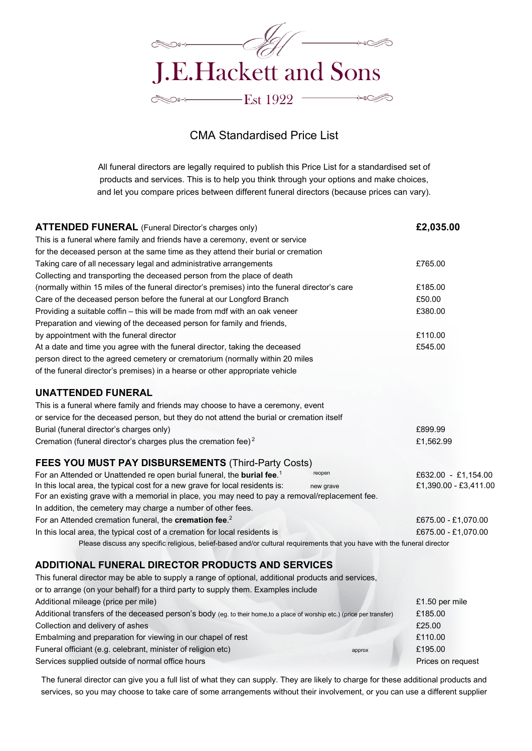

## CMA Standardised Price List

All funeral directors are legally required to publish this Price List for a standardised set of products and services. This is to help you think through your options and make choices, and let you compare prices between different funeral directors (because prices can vary).

| <b>ATTENDED FUNERAL</b> (Funeral Director's charges only)                                                                | £2,035.00             |
|--------------------------------------------------------------------------------------------------------------------------|-----------------------|
| This is a funeral where family and friends have a ceremony, event or service                                             |                       |
| for the deceased person at the same time as they attend their burial or cremation                                        |                       |
| Taking care of all necessary legal and administrative arrangements                                                       | £765.00               |
| Collecting and transporting the deceased person from the place of death                                                  |                       |
| (normally within 15 miles of the funeral director's premises) into the funeral director's care                           | £185.00               |
| Care of the deceased person before the funeral at our Longford Branch                                                    | £50.00                |
| Providing a suitable coffin - this will be made from mdf with an oak veneer                                              | £380.00               |
| Preparation and viewing of the deceased person for family and friends,                                                   |                       |
| by appointment with the funeral director                                                                                 | £110.00               |
| At a date and time you agree with the funeral director, taking the deceased                                              | £545.00               |
| person direct to the agreed cemetery or crematorium (normally within 20 miles                                            |                       |
| of the funeral director's premises) in a hearse or other appropriate vehicle                                             |                       |
| <b>UNATTENDED FUNERAL</b>                                                                                                |                       |
| This is a funeral where family and friends may choose to have a ceremony, event                                          |                       |
| or service for the deceased person, but they do not attend the burial or cremation itself                                |                       |
| Burial (funeral director's charges only)                                                                                 | £899.99               |
| Cremation (funeral director's charges plus the cremation fee) <sup>2</sup>                                               | £1,562.99             |
| <b>FEES YOU MUST PAY DISBURSEMENTS (Third-Party Costs)</b>                                                               |                       |
| reopen<br>For an Attended or Unattended re open burial funeral, the burial fee. <sup>1</sup>                             | £632.00 - £1,154.00   |
| In this local area, the typical cost for a new grave for local residents is:<br>new grave                                | £1,390.00 - £3,411.00 |
| For an existing grave with a memorial in place, you may need to pay a removal/replacement fee.                           |                       |
| In addition, the cemetery may charge a number of other fees.                                                             |                       |
| For an Attended cremation funeral, the cremation fee. <sup>2</sup>                                                       | £675.00 - £1,070.00   |
| In this local area, the typical cost of a cremation for local residents is                                               | £675.00 - £1,070.00   |
| Please discuss any specific religious, belief-based and/or cultural requirements that you have with the funeral director |                       |
| <b>ADDITIONAL FUNERAL DIRECTOR PRODUCTS AND SERVICES</b>                                                                 |                       |
| This funeral director may be able to supply a range of optional, additional products and services,                       |                       |
| or to arrange (on your behalf) for a third party to supply them. Examples include                                        |                       |
| Additional mileage (price per mile)                                                                                      | £1.50 per mile        |

| Additional transfers of the deceased person's body (eg. to their home,to a place of worship etc.) (price per transfer) | £185.00           |
|------------------------------------------------------------------------------------------------------------------------|-------------------|
| Collection and delivery of ashes                                                                                       | £25.00            |
| Embalming and preparation for viewing in our chapel of rest                                                            | £110.00           |
| Funeral officiant (e.g. celebrant, minister of religion etc)<br>approx                                                 | £195.00           |
| Services supplied outside of normal office hours                                                                       | Prices on request |

The funeral director can give you a full list of what they can supply. They are likely to charge for these additional products and services, so you may choose to take care of some arrangements without their involvement, or you can use a different supplier